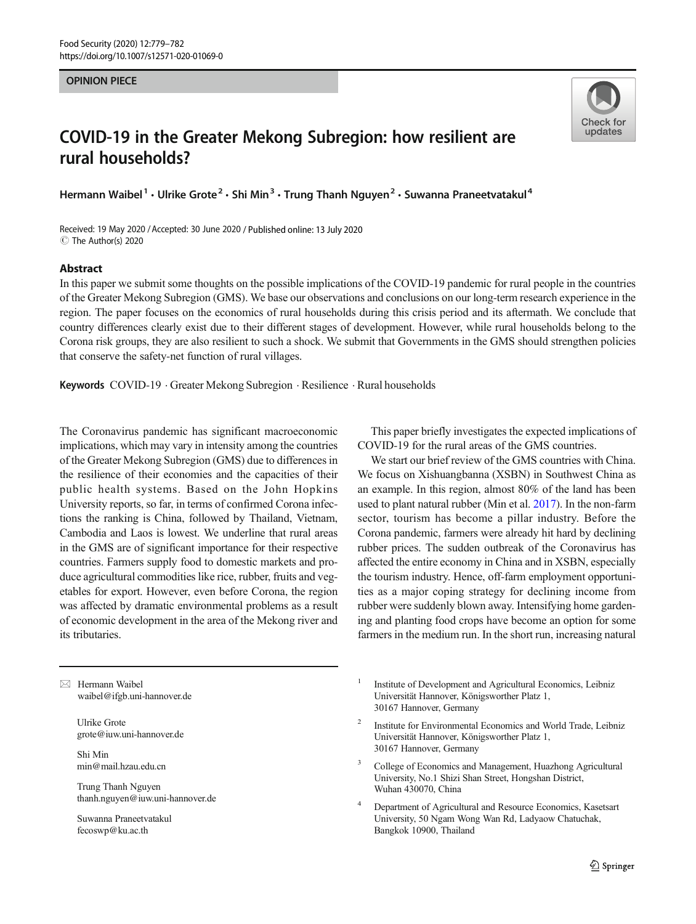#### **OPINION PIFCE** OPINION PIECE



# COVID-19 in the Greater Mekong Subregion: how resilient are rural households?

Hermann Waibel<sup>1</sup> • Ulrike Grote<sup>2</sup> • Shi Min<sup>3</sup> • Trung Thanh Nguyen<sup>2</sup> • Suwanna Praneetvatakul<sup>4</sup>

Received: 19 May 2020 / Accepted: 30 June 2020 / Published online: 13 July 2020 C The Author(s) 2020

#### Abstract

In this paper we submit some thoughts on the possible implications of the COVID-19 pandemic for rural people in the countries of the Greater Mekong Subregion (GMS). We base our observations and conclusions on our long-term research experience in the region. The paper focuses on the economics of rural households during this crisis period and its aftermath. We conclude that country differences clearly exist due to their different stages of development. However, while rural households belong to the Corona risk groups, they are also resilient to such a shock. We submit that Governments in the GMS should strengthen policies that conserve the safety-net function of rural villages.

Keywords COVID-19 . Greater Mekong Subregion . Resilience . Rural households

The Coronavirus pandemic has significant macroeconomic implications, which may vary in intensity among the countries of the Greater Mekong Subregion (GMS) due to differences in the resilience of their economies and the capacities of their public health systems. Based on the John Hopkins University reports, so far, in terms of confirmed Corona infections the ranking is China, followed by Thailand, Vietnam, Cambodia and Laos is lowest. We underline that rural areas in the GMS are of significant importance for their respective countries. Farmers supply food to domestic markets and produce agricultural commodities like rice, rubber, fruits and vegetables for export. However, even before Corona, the region was affected by dramatic environmental problems as a result of economic development in the area of the Mekong river and its tributaries.

This paper briefly investigates the expected implications of COVID-19 for the rural areas of the GMS countries.

We start our brief review of the GMS countries with China. We focus on Xishuangbanna (XSBN) in Southwest China as an example. In this region, almost 80% of the land has been used to plant natural rubber (Min et al. [2017](#page-2-0)). In the non-farm sector, tourism has become a pillar industry. Before the Corona pandemic, farmers were already hit hard by declining rubber prices. The sudden outbreak of the Coronavirus has affected the entire economy in China and in XSBN, especially the tourism industry. Hence, off-farm employment opportunities as a major coping strategy for declining income from rubber were suddenly blown away. Intensifying home gardening and planting food crops have become an option for some farmers in the medium run. In the short run, increasing natural

 $\boxtimes$  Hermann Waibel [waibel@ifgb.uni-hannover.de](mailto:waibel@ifgb.uni-hannover.de)

> Ulrike Grote grote@iuw.uni-hannover.de

Shi Min min@mail.hzau.edu.cn

Trung Thanh Nguyen thanh.nguyen@iuw.uni-hannover.de

Suwanna Praneetvatakul fecoswp@ku.ac.th

Institute of Development and Agricultural Economics, Leibniz Universität Hannover, Königsworther Platz 1, 30167 Hannover, Germany

- <sup>2</sup> Institute for Environmental Economics and World Trade, Leibniz Universität Hannover, Königsworther Platz 1, 30167 Hannover, Germany
- <sup>3</sup> College of Economics and Management, Huazhong Agricultural University, No.1 Shizi Shan Street, Hongshan District, Wuhan 430070, China
- <sup>4</sup> Department of Agricultural and Resource Economics, Kasetsart University, 50 Ngam Wong Wan Rd, Ladyaow Chatuchak, Bangkok 10900, Thailand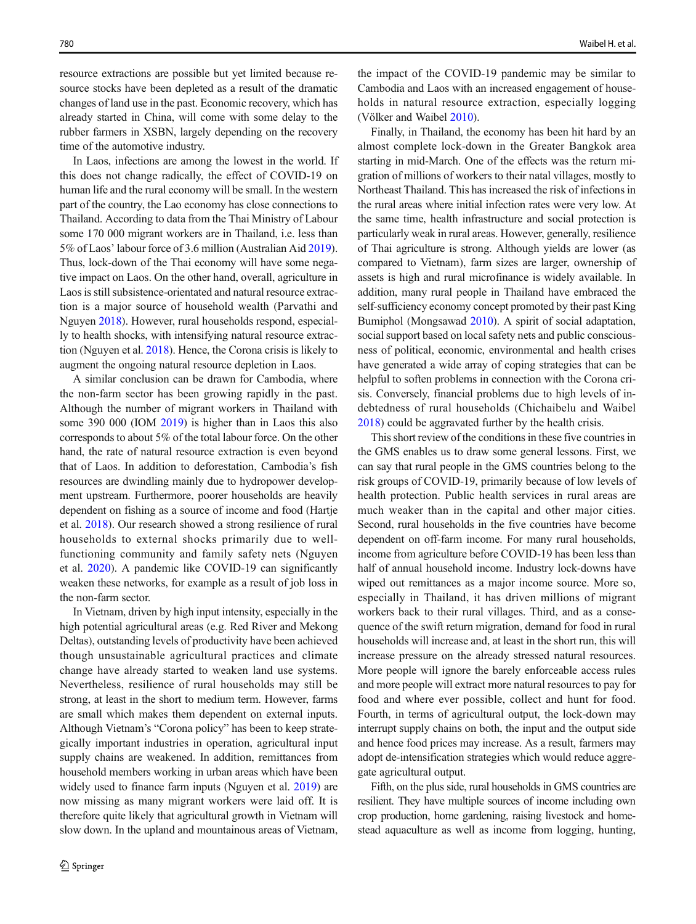resource extractions are possible but yet limited because resource stocks have been depleted as a result of the dramatic changes of land use in the past. Economic recovery, which has already started in China, will come with some delay to the rubber farmers in XSBN, largely depending on the recovery time of the automotive industry.

In Laos, infections are among the lowest in the world. If this does not change radically, the effect of COVID-19 on human life and the rural economy will be small. In the western part of the country, the Lao economy has close connections to Thailand. According to data from the Thai Ministry of Labour some 170 000 migrant workers are in Thailand, i.e. less than 5% of Laos' labour force of 3.6 million (Australian Aid [2019\)](#page-2-0). Thus, lock-down of the Thai economy will have some negative impact on Laos. On the other hand, overall, agriculture in Laos is still subsistence-orientated and natural resource extraction is a major source of household wealth (Parvathi and Nguyen [2018](#page-3-0)). However, rural households respond, especially to health shocks, with intensifying natural resource extraction (Nguyen et al. [2018\)](#page-3-0). Hence, the Corona crisis is likely to augment the ongoing natural resource depletion in Laos.

A similar conclusion can be drawn for Cambodia, where the non-farm sector has been growing rapidly in the past. Although the number of migrant workers in Thailand with some 390 000 (IOM [2019](#page-2-0)) is higher than in Laos this also corresponds to about 5% of the total labour force. On the other hand, the rate of natural resource extraction is even beyond that of Laos. In addition to deforestation, Cambodia's fish resources are dwindling mainly due to hydropower development upstream. Furthermore, poorer households are heavily dependent on fishing as a source of income and food (Hartje et al. [2018\)](#page-2-0). Our research showed a strong resilience of rural households to external shocks primarily due to wellfunctioning community and family safety nets (Nguyen et al. [2020\)](#page-3-0). A pandemic like COVID-19 can significantly weaken these networks, for example as a result of job loss in the non-farm sector.

In Vietnam, driven by high input intensity, especially in the high potential agricultural areas (e.g. Red River and Mekong Deltas), outstanding levels of productivity have been achieved though unsustainable agricultural practices and climate change have already started to weaken land use systems. Nevertheless, resilience of rural households may still be strong, at least in the short to medium term. However, farms are small which makes them dependent on external inputs. Although Vietnam's "Corona policy" has been to keep strategically important industries in operation, agricultural input supply chains are weakened. In addition, remittances from household members working in urban areas which have been widely used to finance farm inputs (Nguyen et al. [2019](#page-3-0)) are now missing as many migrant workers were laid off. It is therefore quite likely that agricultural growth in Vietnam will slow down. In the upland and mountainous areas of Vietnam,

the impact of the COVID-19 pandemic may be similar to Cambodia and Laos with an increased engagement of households in natural resource extraction, especially logging (Völker and Waibel [2010\)](#page-3-0).

Finally, in Thailand, the economy has been hit hard by an almost complete lock-down in the Greater Bangkok area starting in mid-March. One of the effects was the return migration of millions of workers to their natal villages, mostly to Northeast Thailand. This has increased the risk of infections in the rural areas where initial infection rates were very low. At the same time, health infrastructure and social protection is particularly weak in rural areas. However, generally, resilience of Thai agriculture is strong. Although yields are lower (as compared to Vietnam), farm sizes are larger, ownership of assets is high and rural microfinance is widely available. In addition, many rural people in Thailand have embraced the self-sufficiency economy concept promoted by their past King Bumiphol (Mongsawad [2010](#page-3-0)). A spirit of social adaptation, social support based on local safety nets and public consciousness of political, economic, environmental and health crises have generated a wide array of coping strategies that can be helpful to soften problems in connection with the Corona crisis. Conversely, financial problems due to high levels of indebtedness of rural households (Chichaibelu and Waibel [2018\)](#page-2-0) could be aggravated further by the health crisis.

This short review of the conditions in these five countries in the GMS enables us to draw some general lessons. First, we can say that rural people in the GMS countries belong to the risk groups of COVID-19, primarily because of low levels of health protection. Public health services in rural areas are much weaker than in the capital and other major cities. Second, rural households in the five countries have become dependent on off-farm income. For many rural households, income from agriculture before COVID-19 has been less than half of annual household income. Industry lock-downs have wiped out remittances as a major income source. More so, especially in Thailand, it has driven millions of migrant workers back to their rural villages. Third, and as a consequence of the swift return migration, demand for food in rural households will increase and, at least in the short run, this will increase pressure on the already stressed natural resources. More people will ignore the barely enforceable access rules and more people will extract more natural resources to pay for food and where ever possible, collect and hunt for food. Fourth, in terms of agricultural output, the lock-down may interrupt supply chains on both, the input and the output side and hence food prices may increase. As a result, farmers may adopt de-intensification strategies which would reduce aggregate agricultural output.

Fifth, on the plus side, rural households in GMS countries are resilient. They have multiple sources of income including own crop production, home gardening, raising livestock and homestead aquaculture as well as income from logging, hunting,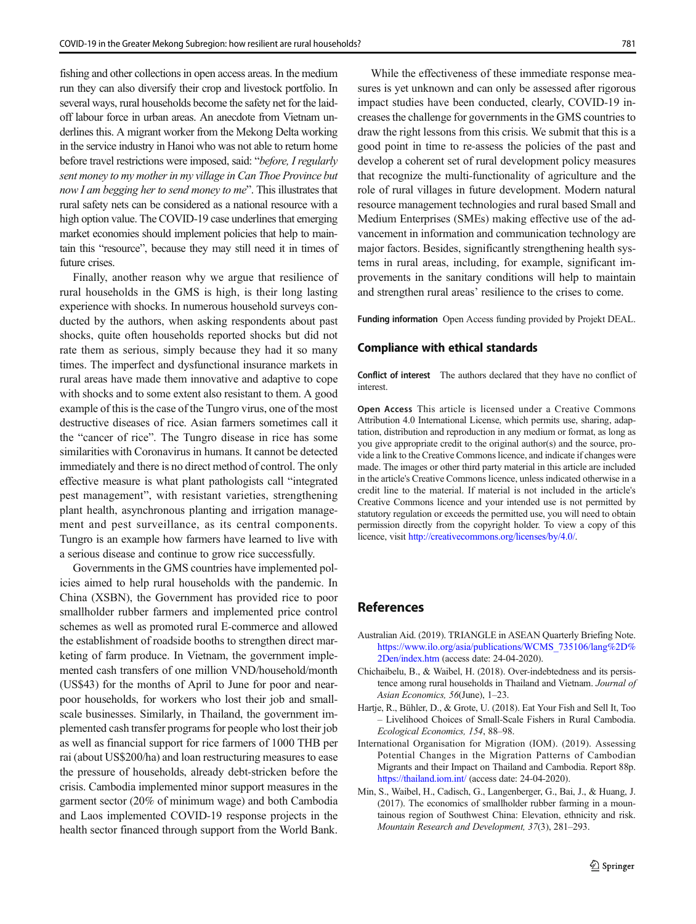<span id="page-2-0"></span>fishing and other collections in open access areas. In the medium run they can also diversify their crop and livestock portfolio. In several ways, rural households become the safety net for the laidoff labour force in urban areas. An anecdote from Vietnam underlines this. A migrant worker from the Mekong Delta working in the service industry in Hanoi who was not able to return home before travel restrictions were imposed, said: "before, I regularly sent money to my mother in my village in Can Thoe Province but now I am begging her to send money to me". This illustrates that rural safety nets can be considered as a national resource with a high option value. The COVID-19 case underlines that emerging market economies should implement policies that help to maintain this "resource", because they may still need it in times of future crises.

Finally, another reason why we argue that resilience of rural households in the GMS is high, is their long lasting experience with shocks. In numerous household surveys conducted by the authors, when asking respondents about past shocks, quite often households reported shocks but did not rate them as serious, simply because they had it so many times. The imperfect and dysfunctional insurance markets in rural areas have made them innovative and adaptive to cope with shocks and to some extent also resistant to them. A good example of this is the case of the Tungro virus, one of the most destructive diseases of rice. Asian farmers sometimes call it the "cancer of rice". The Tungro disease in rice has some similarities with Coronavirus in humans. It cannot be detected immediately and there is no direct method of control. The only effective measure is what plant pathologists call "integrated pest management", with resistant varieties, strengthening plant health, asynchronous planting and irrigation management and pest surveillance, as its central components. Tungro is an example how farmers have learned to live with a serious disease and continue to grow rice successfully.

Governments in the GMS countries have implemented policies aimed to help rural households with the pandemic. In China (XSBN), the Government has provided rice to poor smallholder rubber farmers and implemented price control schemes as well as promoted rural E-commerce and allowed the establishment of roadside booths to strengthen direct marketing of farm produce. In Vietnam, the government implemented cash transfers of one million VND/household/month (US\$43) for the months of April to June for poor and nearpoor households, for workers who lost their job and smallscale businesses. Similarly, in Thailand, the government implemented cash transfer programs for people who lost their job as well as financial support for rice farmers of 1000 THB per rai (about US\$200/ha) and loan restructuring measures to ease the pressure of households, already debt-stricken before the crisis. Cambodia implemented minor support measures in the garment sector (20% of minimum wage) and both Cambodia and Laos implemented COVID-19 response projects in the health sector financed through support from the World Bank.

While the effectiveness of these immediate response measures is yet unknown and can only be assessed after rigorous impact studies have been conducted, clearly, COVID-19 increases the challenge for governments in the GMS countries to draw the right lessons from this crisis. We submit that this is a good point in time to re-assess the policies of the past and develop a coherent set of rural development policy measures that recognize the multi-functionality of agriculture and the role of rural villages in future development. Modern natural resource management technologies and rural based Small and Medium Enterprises (SMEs) making effective use of the advancement in information and communication technology are major factors. Besides, significantly strengthening health systems in rural areas, including, for example, significant improvements in the sanitary conditions will help to maintain and strengthen rural areas' resilience to the crises to come.

Funding information Open Access funding provided by Projekt DEAL.

### Compliance with ethical standards

Conflict of interest The authors declared that they have no conflict of interest.

Open Access This article is licensed under a Creative Commons Attribution 4.0 International License, which permits use, sharing, adaptation, distribution and reproduction in any medium or format, as long as you give appropriate credit to the original author(s) and the source, provide a link to the Creative Commons licence, and indicate if changes were made. The images or other third party material in this article are included in the article's Creative Commons licence, unless indicated otherwise in a credit line to the material. If material is not included in the article's Creative Commons licence and your intended use is not permitted by statutory regulation or exceeds the permitted use, you will need to obtain permission directly from the copyright holder. To view a copy of this licence, visit [http://creativecommons.org/licenses/by/4.0/](https://doi.org/).

## References

- Australian Aid. (2019). TRIANGLE in ASEAN Quarterly Briefing Note. [https://www.ilo.org/asia/publications/WCMS\\_735106/lang%2D%](https://www.ilo.org/asia/publications/WCMS_735106/lang%2D%2Den/index.htm) [2Den/index.htm](https://www.ilo.org/asia/publications/WCMS_735106/lang%2D%2Den/index.htm) (access date: 24-04-2020).
- Chichaibelu, B., & Waibel, H. (2018). Over-indebtedness and its persistence among rural households in Thailand and Vietnam. Journal of Asian Economics, 56(June), 1–23.
- Hartje, R., Bühler, D., & Grote, U. (2018). Eat Your Fish and Sell It, Too – Livelihood Choices of Small-Scale Fishers in Rural Cambodia. Ecological Economics, 154, 88–98.
- International Organisation for Migration (IOM). (2019). Assessing Potential Changes in the Migration Patterns of Cambodian Migrants and their Impact on Thailand and Cambodia. Report 88p. <https://thailand.iom.int/> (access date: 24-04-2020).
- Min, S., Waibel, H., Cadisch, G., Langenberger, G., Bai, J., & Huang, J. (2017). The economics of smallholder rubber farming in a mountainous region of Southwest China: Elevation, ethnicity and risk. Mountain Research and Development, 37(3), 281–293.